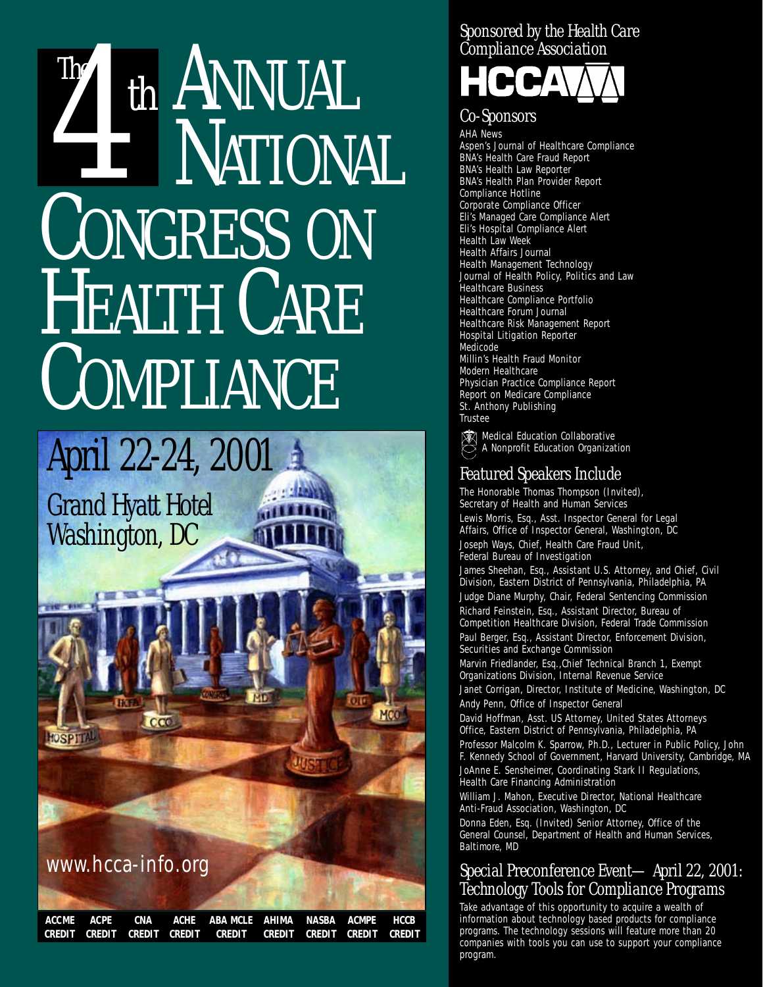## *The* The ANNUAL NATIONAL CONGRESS ON HEALTH CARE COMPLIANCE



### *Sponsored by the Health Care Compliance Association*



### *Co-Sponsors*

AHA News Aspen's Journal of Healthcare Compliance BNA's Health Care Fraud Report BNA's Health Law Reporter BNA's Health Plan Provider Report Compliance Hotline Corporate Compliance Officer Eli's Managed Care Compliance Alert Eli's Hospital Compliance Alert Health Law Week Health Affairs Journal Health Management Technology Journal of Health Policy, Politics and Law Healthcare Business Healthcare Compliance Portfolio Healthcare Forum Journal Healthcare Risk Management Report Hospital Litigation Reporter Medicode Millin's Health Fraud Monitor Modern Healthcare Physician Practice Compliance Report Report on Medicare Compliance St. Anthony Publishing **Trustee** 

**Medical Education Collaborative**<br>A Nopprofit Education Collaborative A Nonprofit Education Organization

### *Featured Speakers Include*

The Honorable Thomas Thompson (Invited), Secretary of Health and Human Services Lewis Morris, Esq., Asst. Inspector General for Legal Affairs, Office of Inspector General, Washington, DC

Joseph Ways, Chief, Health Care Fraud Unit, Federal Bureau of Investigation

James Sheehan, Esq., Assistant U.S. Attorney, and Chief, Civil Division, Eastern District of Pennsylvania, Philadelphia, PA Judge Diane Murphy, Chair, Federal Sentencing Commission

Richard Feinstein, Esq., Assistant Director, Bureau of Competition Healthcare Division, Federal Trade Commission Paul Berger, Esq., Assistant Director, Enforcement Division, Securities and Exchange Commission

Marvin Friedlander, Esq.,Chief Technical Branch 1, Exempt Organizations Division, Internal Revenue Service

Janet Corrigan, Director, Institute of Medicine, Washington, DC Andy Penn, Office of Inspector General

David Hoffman, Asst. US Attorney, United States Attorneys Office, Eastern District of Pennsylvania, Philadelphia, PA Professor Malcolm K. Sparrow, Ph.D., Lecturer in Public Policy, John

F. Kennedy School of Government, Harvard University, Cambridge, MA

JoAnne E. Sensheimer, Coordinating Stark II Regulations, Health Care Financing Administration

William J. Mahon, Executive Director, National Healthcare Anti-Fraud Association, Washington, DC

Donna Eden, Esq. (Invited) Senior Attorney, Office of the General Counsel, Department of Health and Human Services, Baltimore, MD

### *Special Preconference Event— April 22, 2001: Technology Tools for Compliance Programs*

Take advantage of this opportunity to acquire a wealth of information about technology based products for compliance programs. The technology sessions will feature more than 20 companies with tools you can use to support your compliance program.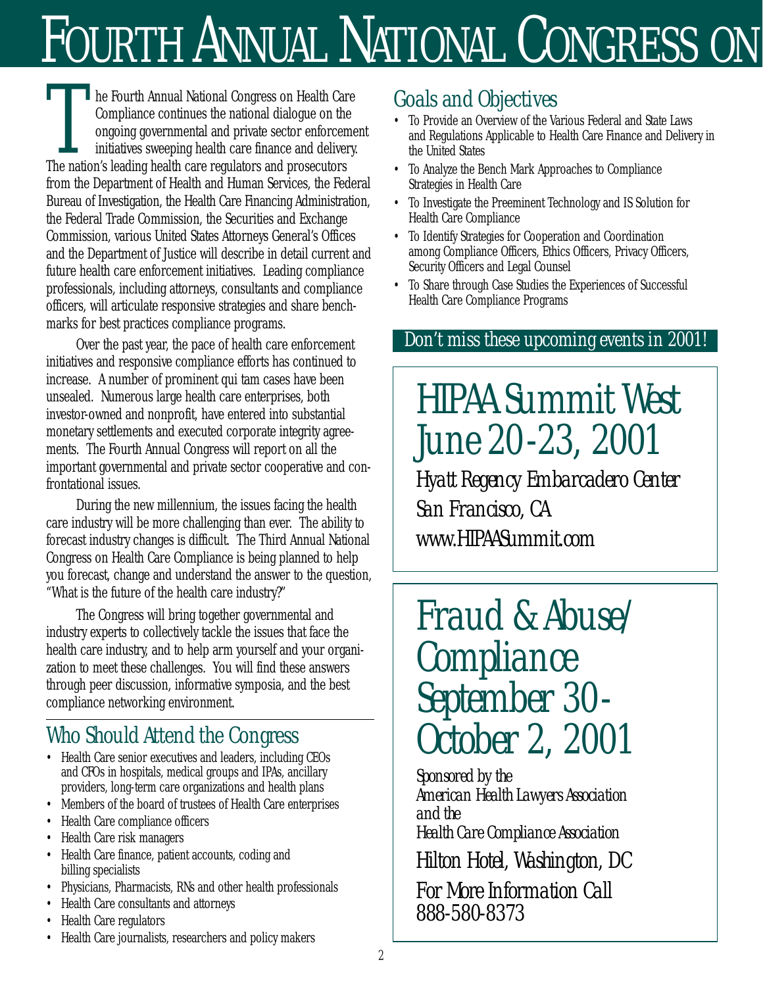# FOURTH ANNUAL NATIONAL CONGRESS ON

he Fourth Annual National Congress on Health Care Compliance continues the national dialogue on the ongoing governmental and private sector enforcement initiatives sweeping health care finance and delivery. The nation's leading health care regulators and prosecutors from the Department of Health and Human Services, the Federal Bureau of Investigation, the Health Care Financing Administration, the Federal Trade Commission, the Securities and Exchange Commission, various United States Attorneys General's Offices and the Department of Justice will describe in detail current and future health care enforcement initiatives. Leading compliance professionals, including attorneys, consultants and compliance officers, will articulate responsive strategies and share benchmarks for best practices compliance programs. The Fourth Annual National Congress on Health Care<br>
Conspliance continues the national dialogue on the<br>
ongoing governmental and private sector enforcement<br>
initiatives sweeping health care finance and delivery.<br>
The natio

Over the past year, the pace of health care enforcement initiatives and responsive compliance efforts has continued to increase. A number of prominent qui tam cases have been unsealed. Numerous large health care enterprises, both investor-owned and nonprofit, have entered into substantial monetary settlements and executed corporate integrity agreements. The Fourth Annual Congress will report on all the important governmental and private sector cooperative and confrontational issues.

During the new millennium, the issues facing the health care industry will be more challenging than ever. The ability to forecast industry changes is difficult. The Third Annual National Congress on Health Care Compliance is being planned to help you forecast, change and understand the answer to the question, "What is the future of the health care industry?"

The Congress will bring together governmental and industry experts to collectively tackle the issues that face the health care industry, and to help arm yourself and your organization to meet these challenges. You will find these answers through peer discussion, informative symposia, and the best compliance networking environment.

## *Who Should Attend the Congress*

- Health Care senior executives and leaders, including CEOs and CFOs in hospitals, medical groups and IPAs, ancillary providers, long-term care organizations and health plans
- Members of the board of trustees of Health Care enterprises
- Health Care compliance officers
- Health Care risk managers
- Health Care finance, patient accounts, coding and billing specialists
- Physicians, Pharmacists, RNs and other health professionals
- Health Care consultants and attorneys
- Health Care regulators
- Health Care journalists, researchers and policy makers

- To Provide an Overview of the Various Federal and State Laws and Regulations Applicable to Health Care Finance and Delivery in the United States
- To Analyze the Bench Mark Approaches to Compliance Strategies in Health Care
- To Investigate the Preeminent Technology and IS Solution for Health Care Compliance
- To Identify Strategies for Cooperation and Coordination among Compliance Officers, Ethics Officers, Privacy Officers, Security Officers and Legal Counsel
- To Share through Case Studies the Experiences of Successful Health Care Compliance Programs

## *Don't miss these upcoming events in 2001!*

*HIPAA Summit West June 20-23, 2001*

*Hyatt Regency Embarcadero Center San Francisco, CA www.HIPAASummit.com*

*Fraud & Abuse/ Compliance September 30- October 2, 2001* 

*Sponsored by the American Health Lawyers Association and the Health Care Compliance Association Hilton Hotel, Washington, DC For More Information Call 888-580-8373*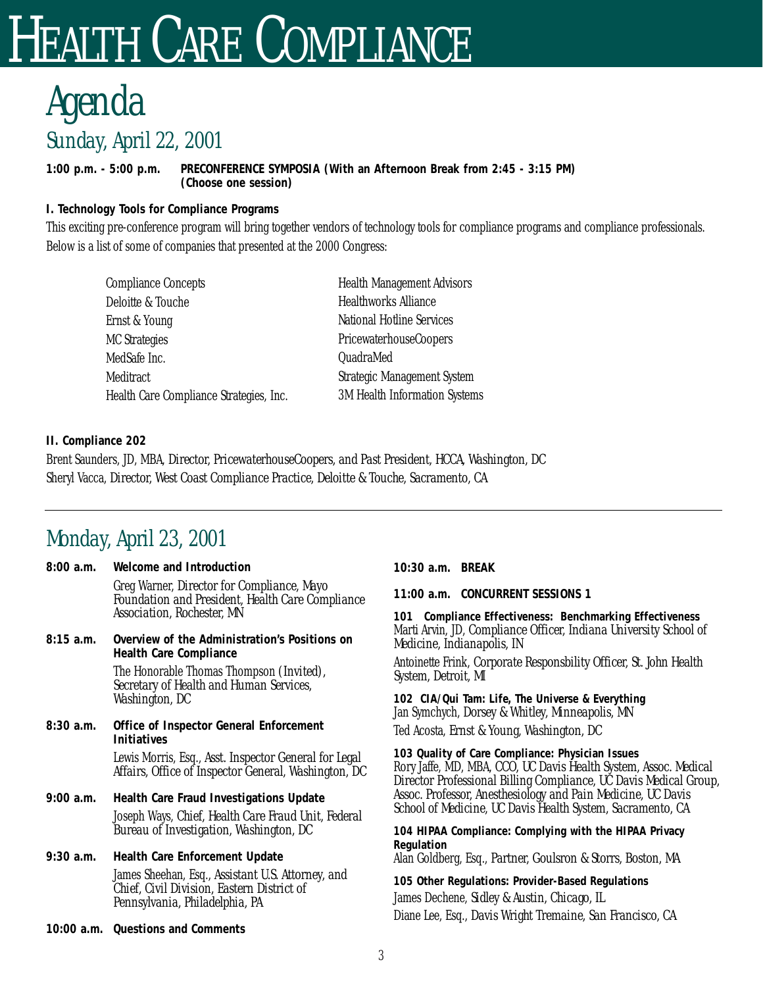## EALTH CARE COMPLIANCE

## *Sunday, April 22, 2001 Agenda*

**1:00 p.m. - 5:00 p.m. PRECONFERENCE SYMPOSIA (With an Afternoon Break from 2:45 - 3:15 PM) (Choose one session)**

**I. Technology Tools for Compliance Programs** 

This exciting pre-conference program will bring together vendors of technology tools for compliance programs and compliance professionals. Below is a list of some of companies that presented at the 2000 Congress:

| <b>Compliance Concepts</b>              | <b>Health Management Advisors</b>    |
|-----------------------------------------|--------------------------------------|
| Deloitte & Touche                       | <b>Healthworks Alliance</b>          |
| Ernst & Young                           | <b>National Hotline Services</b>     |
| <b>MC Strategies</b>                    | PricewaterhouseCoopers               |
| MedSafe Inc.                            | QuadraMed                            |
| <b>Meditract</b>                        | <b>Strategic Management System</b>   |
| Health Care Compliance Strategies, Inc. | <b>3M Health Information Systems</b> |

**II. Compliance 202** 

Brent Saunders, JD, MBA, *Director, PricewaterhouseCoopers, and Past President, HCCA, Washington, DC* Sheryl Vacca, *Director, West Coast Compliance Practice, Deloitte & Touche, Sacramento, CA* 

## *Monday, April 23, 2001*

|            | 8:00 a.m. Welcome and Introduction                                                                                                         |  |
|------------|--------------------------------------------------------------------------------------------------------------------------------------------|--|
|            | Greg Warner, Director for Compliance, Mayo<br><b>Foundation and President, Health Care Compliance</b><br><b>Association, Rochester, MN</b> |  |
| 8:15a.m.   | Overview of the Administration's Positions on<br><b>Health Care Compliance</b>                                                             |  |
|            | The Honorable Thomas Thompson <i>(Invited)</i> ,<br>Secretary of Health and Human Services,<br>Washington, DC                              |  |
| 8:30 a.m.  | Office of Inspector General Enforcement<br><b>Initiatives</b>                                                                              |  |
|            | Lewis Morris, Esq., Asst. Inspector General for Legal<br>Affairs, Office of Inspector General, Washington, DC                              |  |
| 9:00 a.m.  | Health Care Fraud Investigations Update                                                                                                    |  |
|            | Joseph Ways, Chief, Health Care Fraud Unit, Federal<br>Bureau of Investigation, Washington, DC                                             |  |
|            | 9:30 a.m. Health Care Enforcement Update                                                                                                   |  |
|            | James Sheehan, Esq., Assistant U.S. Attorney, and<br>Chief, Civil Division, Eastern District of<br>Pennsylvania, Philadelphia, PA          |  |
| 10:00 a.m. | <b>Questions and Comments</b>                                                                                                              |  |

**10:30 a.m. BREAK**

**11:00 a.m. CONCURRENT SESSIONS 1**

**101 Compliance Effectiveness: Benchmarking Effectiveness**  Marti Arvin, JD, *Compliance Officer, Indiana University School of Medicine, Indianapolis, IN*

Antoinette Frink, *Corporate Responsbility Officer, St. John Health System, Detroit, MI* 

**102 CIA/Qui Tam: Life, The Universe & Everything**  Jan Symchych, *Dorsey & Whitley, Minneapolis, MN* 

Ted Acosta, *Ernst & Young, Washington, DC*

**103 Quality of Care Compliance: Physician Issues**  Rory Jaffe, MD, MBA, *CCO, UC Davis Health System, Assoc. Medical Director Professional Billing Compliance, UC Davis Medical Group, Assoc. Professor, Anesthesiology and Pain Medicine, UC Davis School of Medicine, UC Davis Health System, Sacramento, CA*

**104 HIPAA Compliance: Complying with the HIPAA Privacy Regulation** Alan Goldberg, Esq., *Partner, Goulsron & Storrs, Boston, MA*

**105 Other Regulations: Provider-Based Regulations**  James Dechene, *Sidley & Austin, Chicago, IL*  Diane Lee, Esq., *Davis Wright Tremaine, San Francisco, CA*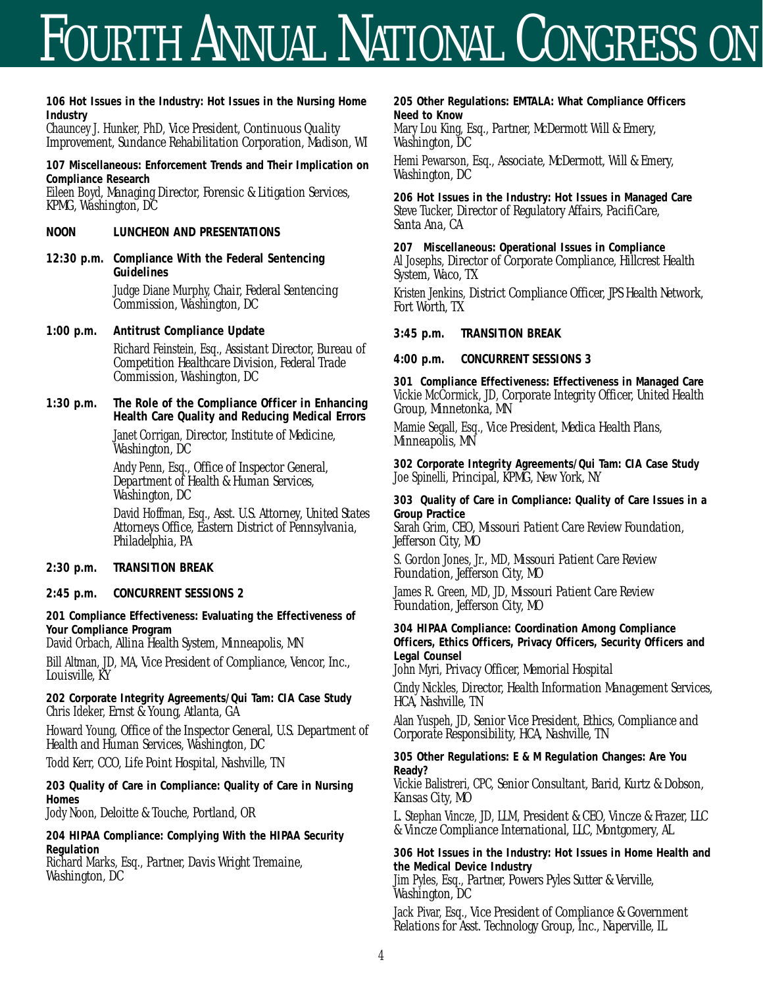## FOURTH ANNUAL NATIONAL CONGRESS ON

**106 Hot Issues in the Industry: Hot Issues in the Nursing Home Industry**

Chauncey J. Hunker, PhD, *Vice President, Continuous Quality Improvement, Sundance Rehabilitation Corporation, Madison, WI* 

**107 Miscellaneous: Enforcement Trends and Their Implication on Compliance Research**  Eileen Boyd, *Managing Director, Forensic & Litigation Services,*

*KPMG, Washington, DC*

- **NOON LUNCHEON AND PRESENTATIONS**
- **12:30 p.m. Compliance With the Federal Sentencing Guidelines** Judge Diane Murphy, *Chair, Federal Sentencing Commission, Washington, DC*
- **1:00 p.m. Antitrust Compliance Update**

Richard Feinstein, Esq., *Assistant Director, Bureau of Competition Healthcare Division, Federal Trade Commission, Washington, DC*

**1:30 p.m. The Role of the Compliance Officer in Enhancing Health Care Quality and Reducing Medical Errors** Janet Corrigan, *Director, Institute of Medicine, Washington, DC* 

> Andy Penn, Esq., *Office of Inspector General, Department of Health & Human Services, Washington, DC*

David Hoffman, Esq., *Asst. U.S. Attorney, United States Attorneys Office, Eastern District of Pennsylvania, Philadelphia, PA*

- **2:30 p.m. TRANSITION BREAK**
- **2:45 p.m. CONCURRENT SESSIONS 2**

**201 Compliance Effectiveness: Evaluating the Effectiveness of Your Compliance Program** 

David Orbach, *Allina Health System, Minneapolis, MN* 

Bill Altman, JD, MA, *Vice President of Compliance, Vencor, Inc., Louisville, KY*

**202 Corporate Integrity Agreements/Qui Tam: CIA Case Study**  Chris Ideker, *Ernst & Young, Atlanta, GA*

Howard Young, *Office of the Inspector General, U.S. Department of Health and Human Services, Washington, DC*

Todd Kerr, *CCO, Life Point Hospital, Nashville, TN*

**203 Quality of Care in Compliance: Quality of Care in Nursing Homes** 

Jody Noon, *Deloitte & Touche, Portland, OR* 

**204 HIPAA Compliance: Complying With the HIPAA Security Regulation**

Richard Marks, Esq., *Partner, Davis Wright Tremaine, Washington, DC*

**205 Other Regulations: EMTALA: What Compliance Officers Need to Know**

Mary Lou King, Esq., *Partner, McDermott Will & Emery, Washington, DC* 

Hemi Pewarson, Esq., *Associate, McDermott, Will & Emery, Washington, DC*

**206 Hot Issues in the Industry: Hot Issues in Managed Care** Steve Tucker, *Director of Regulatory Affairs, PacifiCare, Santa Ana, CA* 

**207 Miscellaneous: Operational Issues in Compliance** Al Josephs, *Director of Corporate Compliance, Hillcrest Health System, Waco, TX*

Kristen Jenkins, *District Compliance Officer, JPS Health Network, Fort Worth, TX*

**3:45 p.m. TRANSITION BREAK**

**4:00 p.m. CONCURRENT SESSIONS 3**

**301 Compliance Effectiveness: Effectiveness in Managed Care**  Vickie McCormick, JD, *Corporate Integrity Officer, United Health Group, Minnetonka, MN*

Mamie Segall, Esq., *Vice President, Medica Health Plans, Minneapolis, MN*

**302 Corporate Integrity Agreements/Qui Tam: CIA Case Study**  Joe Spinelli, *Principal, KPMG, New York, NY* 

**303 Quality of Care in Compliance: Quality of Care Issues in a Group Practice** 

Sarah Grim, *CEO, Missouri Patient Care Review Foundation, Jefferson City, MO*

S. Gordon Jones, Jr., MD, *Missouri Patient Care Review Foundation, Jefferson City, MO* 

James R. Green, MD, JD, *Missouri Patient Care Review Foundation, Jefferson City, MO* 

**304 HIPAA Compliance: Coordination Among Compliance Officers, Ethics Officers, Privacy Officers, Security Officers and Legal Counsel**

John Myri, *Privacy Officer, Memorial Hospital* 

Cindy Nickles, *Director, Health Information Management Services, HCA, Nashville, TN*

Alan Yuspeh, JD, *Senior Vice President, Ethics, Compliance and Corporate Responsibility, HCA, Nashville, TN*

**305 Other Regulations: E & M Regulation Changes: Are You Ready?** 

Vickie Balistreri, CPC, *Senior Consultant, Barid, Kurtz & Dobson, Kansas City, MO* 

L. Stephan Vincze, JD, LLM, *President & CEO, Vincze & Frazer, LLC & Vincze Compliance International, LLC, Montgomery, AL*

**306 Hot Issues in the Industry: Hot Issues in Home Health and the Medical Device Industry**  Jim Pyles, Esq., *Partner, Powers Pyles Sutter & Verville, Washington, DC* 

Jack Pivar, Esq., *Vice President of Compliance & Government Relations for Asst. Technology Group, Inc., Naperville, IL*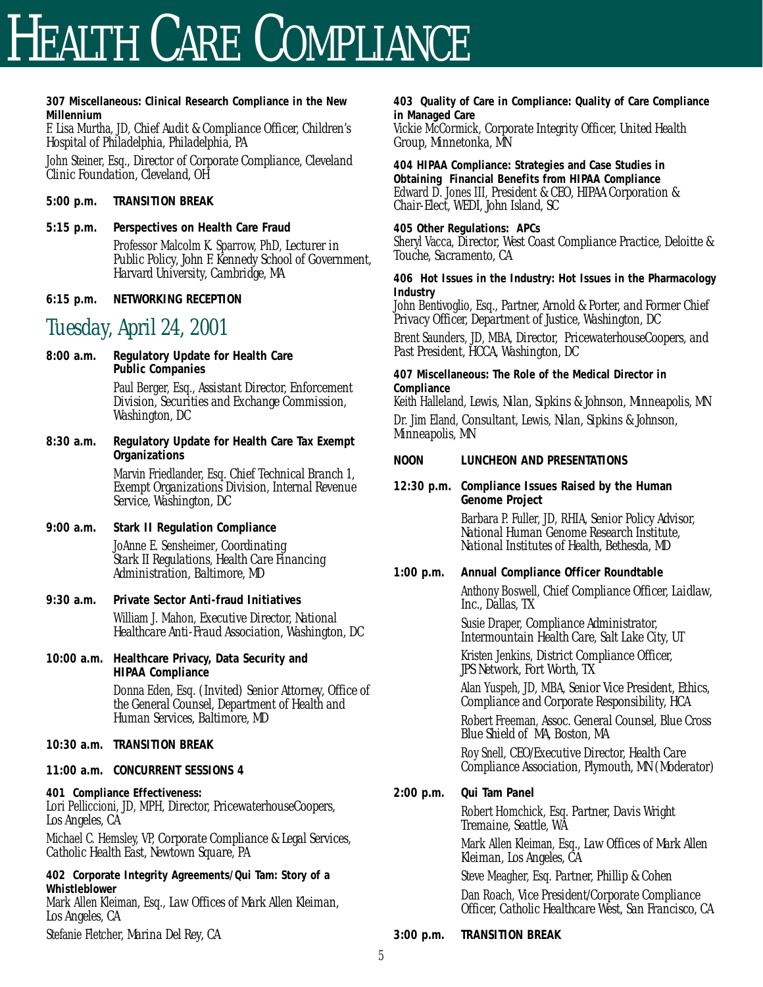## HEALTH CARE COMPLIANCE

**307 Miscellaneous: Clinical Research Compliance in the New Millennium** 

F. Lisa Murtha, JD, *Chief Audit & Compliance Officer, Children's Hospital of Philadelphia, Philadelphia, PA*

John Steiner, Esq., *Director of Corporate Compliance, Cleveland Clinic Foundation, Cleveland, OH*

- **5:00 p.m. TRANSITION BREAK**
- **5:15 p.m. Perspectives on Health Care Fraud**

Professor Malcolm K. Sparrow, PhD, *Lecturer in Public Policy, John F. Kennedy School of Government, Harvard University, Cambridge, MA* 

**6:15 p.m. NETWORKING RECEPTION**

## *Tuesday, April 24, 2001*

- **8:00 a.m. Regulatory Update for Health Care Public Companies** Paul Berger, Esq., *Assistant Director, Enforcement Division, Securities and Exchange Commission, Washington, DC*
- **8:30 a.m. Regulatory Update for Health Care Tax Exempt Organizations** Marvin Friedlander, Esq. *Chief Technical Branch 1, Exempt Organizations Division, Internal Revenue Service, Washington, DC*
- **9:00 a.m. Stark II Regulation Compliance** JoAnne E. Sensheimer*, Coordinating Stark II Regulations, Health Care Financing Administration, Baltimore, MD*
- **9:30 a.m. Private Sector Anti-fraud Initiatives**  William J. Mahon, *Executive Director, National Healthcare Anti-Fraud Association, Washington, DC*
- **10:00 a.m. Healthcare Privacy, Data Security and HIPAA Compliance** Donna Eden, Esq. *(Invited) Senior Attorney, Office of the General Counsel, Department of Health and Human Services, Baltimore, MD*
- **10:30 a.m. TRANSITION BREAK**
- **11:00 a.m. CONCURRENT SESSIONS 4**

**401 Compliance Effectiveness:** Lori Pelliccioni, JD, MPH, *Director, PricewaterhouseCoopers, Los Angeles, CA*

Michael C. Hemsley, VP, *Corporate Compliance & Legal Services, Catholic Health East, Newtown Square, PA* 

**402 Corporate Integrity Agreements/Qui Tam: Story of a Whistleblower**  Mark Allen Kleiman, Esq., *Law Offices of Mark Allen Kleiman, Los Angeles, CA*

Stefanie Fletcher, *Marina Del Rey, CA*

**403 Quality of Care in Compliance: Quality of Care Compliance in Managed Care** 

Vickie McCormick, *Corporate Integrity Officer, United Health Group, Minnetonka, MN*

**404 HIPAA Compliance: Strategies and Case Studies in Obtaining Financial Benefits from HIPAA Compliance** Edward D. Jones III, *President & CEO, HIPAA Corporation & Chair-Elect, WEDI, John Island, SC* 

**405 Other Regulations: APCs**  Sheryl Vacca, *Director, West Coast Compliance Practice, Deloitte & Touche, Sacramento, CA* 

**406 Hot Issues in the Industry: Hot Issues in the Pharmacology Industry** 

John Bentivoglio, Esq., *Partner, Arnold & Porter, and Former Chief Privacy Officer, Department of Justice, Washington, DC*

Brent Saunders, JD, MBA, *Director, PricewaterhouseCoopers, and Past President, HCCA, Washington, DC*

**407 Miscellaneous: The Role of the Medical Director in Compliance**

Keith Halleland, *Lewis, Nilan, Sipkins & Johnson, Minneapolis, MN* 

Dr. Jim Eland, *Consultant, Lewis, Nilan, Sipkins & Johnson, Minneapolis, MN*

- **NOON LUNCHEON AND PRESENTATIONS**
- **12:30 p.m. Compliance Issues Raised by the Human Genome Project** Barbara P. Fuller, JD, RHIA, *Senior Policy Advisor, National Human Genome Research Institute, National Institutes of Health, Bethesda, MD*
- **1:00 p.m. Annual Compliance Officer Roundtable** Anthony Boswell, *Chief Compliance Officer, Laidlaw, Inc., Dallas, TX*

Susie Draper, *Compliance Administrator, Intermountain Health Care, Salt Lake City, UT*

Kristen Jenkins, *District Compliance Officer, JPS Network, Fort Worth, TX*

Alan Yuspeh, JD, MBA, *Senior Vice President, Ethics, Compliance and Corporate Responsibility, HCA*

Robert Freeman, *Assoc. General Counsel, Blue Cross Blue Shield of MA, Boston, MA* 

Roy Snell, *CEO/Executive Director, Health Care Compliance Association, Plymouth, MN (Moderator)*

**2:00 p.m. Qui Tam Panel** Robert Homchick, Esq. *Partner, Davis Wright Tremaine, Seattle, WA* 

> Mark Allen Kleiman, Esq., *Law Offices of Mark Allen Kleiman, Los Angeles, CA*

Steve Meagher, Esq. *Partner, Phillip & Cohen*  Dan Roach, *Vice President/Corporate Compliance Officer, Catholic Healthcare West, San Francisco, CA* 

**3:00 p.m. TRANSITION BREAK**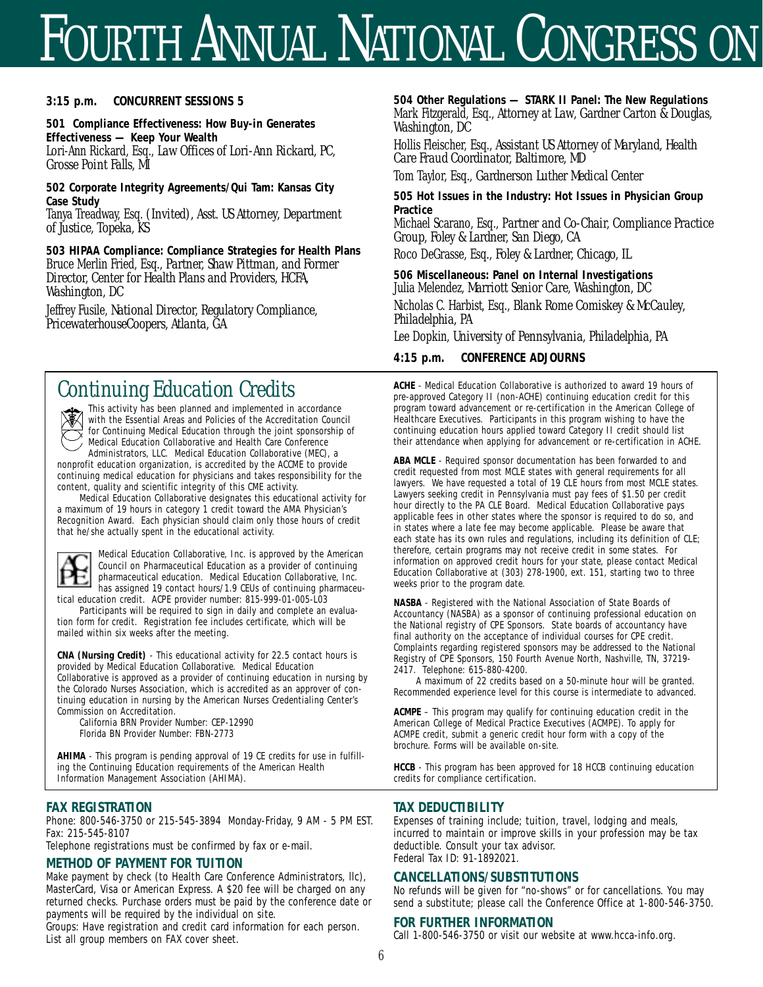## FOURTH ANNUAL NATIONAL CONGRESS ON

#### **3:15 p.m. CONCURRENT SESSIONS 5**

**501 Compliance Effectiveness: How Buy-in Generates Effectiveness — Keep Your Wealth** Lori-Ann Rickard, Esq., *Law Offices of Lori-Ann Rickard, PC, Grosse Point Falls, MI* 

**502 Corporate Integrity Agreements/Qui Tam: Kansas City Case Study** 

Tanya Treadway, Esq. *(Invited), Asst. US Attorney, Department of Justice, Topeka, KS* 

**503 HIPAA Compliance: Compliance Strategies for Health Plans** Bruce Merlin Fried, Esq., *Partner, Shaw Pittman, and Former Director, Center for Health Plans and Providers, HCFA, Washington, DC*

Jeffrey Fusile, *National Director, Regulatory Compliance, PricewaterhouseCoopers, Atlanta, GA* 

## *Continuing Education Credits*

This activity has been planned and implemented in accordance with the Essential Areas and Policies of the Accreditation Council for Continuing Medical Education through the joint sponsorship of Medical Education Collaborative and Health Care Conference Administrators, LLC. Medical Education Collaborative (MEC), a

nonprofit education organization, is accredited by the ACCME to provide continuing medical education for physicians and takes responsibility for the content, quality and scientific integrity of this CME activity.

Medical Education Collaborative designates this educational activity for a maximum of 19 hours in category 1 credit toward the AMA Physician's Recognition Award. Each physician should claim only those hours of credit that he/she actually spent in the educational activity.



Medical Education Collaborative, Inc. is approved by the American Council on Pharmaceutical Education as a provider of continuing pharmaceutical education. Medical Education Collaborative, Inc. has assigned 19 contact hours/1.9 CEUs of continuing pharmaceutical education credit. ACPE provider number: 815-999-01-005-L03

Participants will be required to sign in daily and complete an evaluation form for credit. Registration fee includes certificate, which will be mailed within six weeks after the meeting.

**CNA (Nursing Credit)** - This educational activity for 22.5 contact hours is provided by Medical Education Collaborative. Medical Education Collaborative is approved as a provider of continuing education in nursing by the Colorado Nurses Association, which is accredited as an approver of continuing education in nursing by the American Nurses Credentialing Center's Commission on Accreditation.

California BRN Provider Number: CEP-12990 Florida BN Provider Number: FBN-2773

**AHIMA** - This program is pending approval of 19 CE credits for use in fulfilling the Continuing Education requirements of the American Health Information Management Association (AHIMA).

#### **FAX REGISTRATION**

Phone: 800-546-3750 or 215-545-3894 Monday-Friday, 9 AM - 5 PM EST. Fax: 215-545-8107

Telephone registrations must be confirmed by fax or e-mail.

#### **METHOD OF PAYMENT FOR TUITION**

Make payment by check (to Health Care Conference Administrators, llc), MasterCard, Visa or American Express. A \$20 fee will be charged on any returned checks. Purchase orders must be paid by the conference date or payments will be required by the individual on site.

Groups: Have registration and credit card information for each person. List all group members on FAX cover sheet.

**504 Other Regulations — STARK II Panel: The New Regulations**  Mark Fitzgerald, Esq., *Attorney at Law, Gardner Carton & Douglas, Washington, DC*

Hollis Fleischer, Esq., *Assistant US Attorney of Maryland, Health Care Fraud Coordinator, Baltimore, MD* 

Tom Taylor, Esq., *Gardnerson Luther Medical Center* 

**505 Hot Issues in the Industry: Hot Issues in Physician Group Practice**

Michael Scarano, Esq., P*artner and Co-Chair, Compliance Practice Group, Foley & Lardner, San Diego, CA* 

Roco DeGrasse, Esq., *Foley & Lardner, Chicago, IL*

**506 Miscellaneous: Panel on Internal Investigations** Julia Melendez, *Marriott Senior Care, Washington, DC* 

Nicholas C. Harbist, Esq., *Blank Rome Comiskey & McCauley, Philadelphia, PA*

Lee Dopkin, *University of Pennsylvania, Philadelphia, PA* 

#### **4:15 p.m. CONFERENCE ADJOURNS**

**ACHE** - Medical Education Collaborative is authorized to award 19 hours of pre-approved Category II (non-ACHE) continuing education credit for this program toward advancement or re-certification in the American College of Healthcare Executives. Participants in this program wishing to have the continuing education hours applied toward Category II credit should list their attendance when applying for advancement or re-certification in ACHE.

**ABA MCLE** - Required sponsor documentation has been forwarded to and credit requested from most MCLE states with general requirements for all lawyers. We have requested a total of 19 CLE hours from most MCLE states. Lawyers seeking credit in Pennsylvania must pay fees of \$1.50 per credit hour directly to the PA CLE Board. Medical Education Collaborative pays applicable fees in other states where the sponsor is required to do so, and in states where a late fee may become applicable. Please be aware that each state has its own rules and regulations, including its definition of CLE; therefore, certain programs may not receive credit in some states. For information on approved credit hours for your state, please contact Medical Education Collaborative at (303) 278-1900, ext. 151, starting two to three weeks prior to the program date.

**NASBA** - Registered with the National Association of State Boards of Accountancy (NASBA) as a sponsor of continuing professional education on the National registry of CPE Sponsors. State boards of accountancy have final authority on the acceptance of individual courses for CPE credit. Complaints regarding registered sponsors may be addressed to the National Registry of CPE Sponsors, 150 Fourth Avenue North, Nashville, TN, 37219- 2417. Telephone: 615-880-4200.

A maximum of 22 credits based on a 50-minute hour will be granted. Recommended experience level for this course is intermediate to advanced.

**ACMPE** – This program may qualify for continuing education credit in the American College of Medical Practice Executives (ACMPE). To apply for ACMPE credit, submit a generic credit hour form with a copy of the brochure. Forms will be available on-site.

**HCCB** - This program has been approved for 18 HCCB continuing education credits for compliance certification.

#### **TAX DEDUCTIBILITY**

Expenses of training include; tuition, travel, lodging and meals, incurred to maintain or improve skills in your profession may be tax deductible. Consult your tax advisor. Federal Tax ID: 91-1892021.

#### **CANCELLATIONS/SUBSTITUTIONS**

No refunds will be given for "no-shows" or for cancellations. You may send a substitute; please call the Conference Office at 1-800-546-3750.

#### **FOR FURTHER INFORMATION**

Call 1-800-546-3750 or visit our website at www.hcca-info.org.